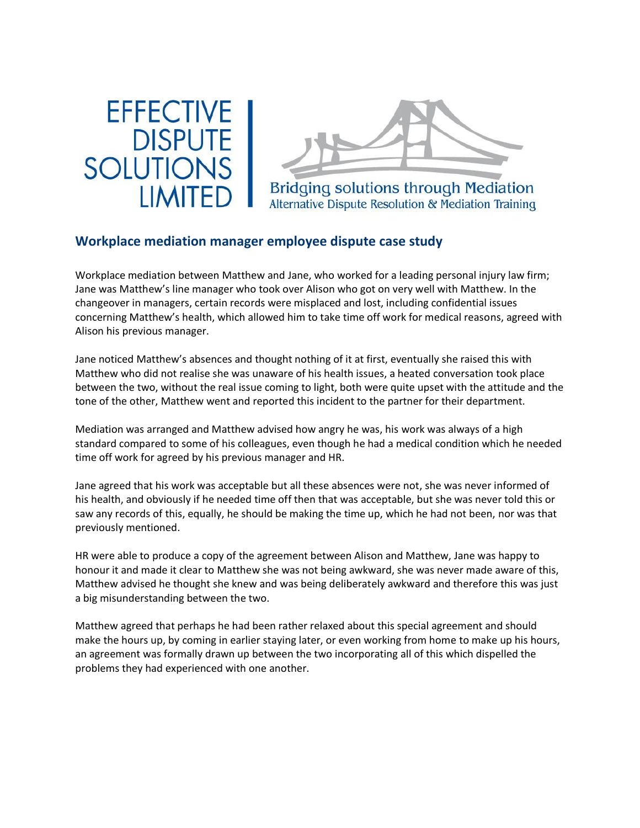



## **[Workplace](http://176.32.230.12/effectivedisputesolutions.co.uk/mediation-casestudies-details.html?CSID=49) mediation manager employee dispute case study**

Workplace mediation between Matthew and Jane, who worked for a leading personal injury law firm; Jane was Matthew's line manager who took over Alison who got on very well with Matthew. In the changeover in managers, certain records were misplaced and lost, including confidential issues concerning Matthew's health, which allowed him to take time off work for medical reasons, agreed with Alison his previous manager.

Jane noticed Matthew's absences and thought nothing of it at first, eventually she raised this with Matthew who did not realise she was unaware of his health issues, a heated conversation took place between the two, without the real issue coming to light, both were quite upset with the attitude and the tone of the other, Matthew went and reported this incident to the partner for their department.

Mediation was arranged and Matthew advised how angry he was, his work was always of a high standard compared to some of his colleagues, even though he had a medical condition which he needed time off work for agreed by his previous manager and HR.

Jane agreed that his work was acceptable but all these absences were not, she was never informed of his health, and obviously if he needed time off then that was acceptable, but she was never told this or saw any records of this, equally, he should be making the time up, which he had not been, nor was that previously mentioned.

HR were able to produce a copy of the agreement between Alison and Matthew, Jane was happy to honour it and made it clear to Matthew she was not being awkward, she was never made aware of this, Matthew advised he thought she knew and was being deliberately awkward and therefore this was just a big misunderstanding between the two.

Matthew agreed that perhaps he had been rather relaxed about this special agreement and should make the hours up, by coming in earlier staying later, or even working from home to make up his hours, an agreement was formally drawn up between the two incorporating all of this which dispelled the problems they had experienced with one another.